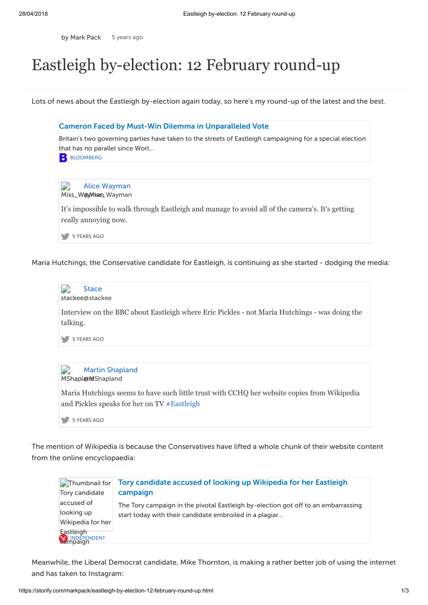by [Mark](https://storify.com/markpack) Pack 5 [years](http://storify.com/markpack/eastleigh-by-election-12-february-round-up) ago

## Eastleigh by-election: 12 February round-up

Lots of news about the Eastleigh by-election again today, so here's my round-up of the latest and the best.



Maria Hutchings, the Conservative candidate for Eastleigh, is continuing as she started - dodging the media:



The mention of Wikipedia is because the Conservatives have lifted a whole chunk of their website content from the online encyclopaedia:



Meanwhile, the Liberal Democrat candidate, Mike Thornton, is making a rather better job of using the internet and has taken to Instagram: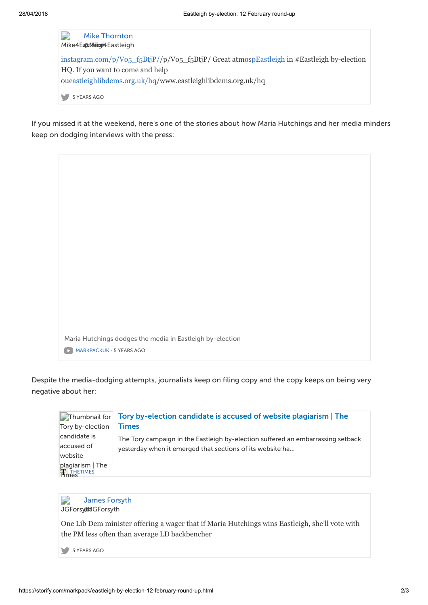D Mike [Thornton](http://twitter.com/Mike4Eastleigh) Mike4EastNeigel4Eastleigh [instagram.com/p/Vo5\\_f5BtjP/](http://t.co/uaGP6pup)/p/Vo5\_f5BtjP/ Great atmo[spEastleigh](https://twitter.com/#!/search?q=%23Eastleigh) in #Eastleigh by-election HQ. If you want to come and help o[ueastleighlibdems.org.uk/hq](http://t.co/bqZBa1dn)/www.eastleighlibdems.org.uk/hq 5 [YEARS](https://twitter.com/Mike4Eastleigh/status/301383239560491008) AGO

If you missed it at the weekend, here's one of the stories about how Maria Hutchings and her media minders keep on dodging interviews with the press:



Despite the media-dodging attempts, journalists keep on filing copy and the copy keeps on being very negative about her:





One Lib Dem minister offering a wager that if Maria Hutchings wins Eastleigh, she'll vote with the PM less often than average LD backbencher

5 [YEARS](https://twitter.com/JGForsyth/status/301308420970135552) AGO